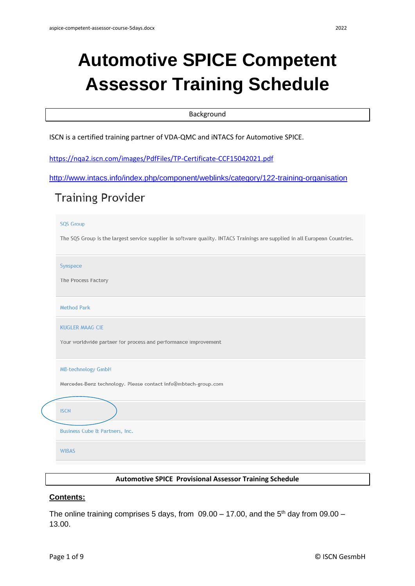# **Automotive SPICE Competent Assessor Training Schedule**

#### Background

ISCN is a certified training partner of VDA-QMC and iNTACS for Automotive SPICE.

<https://nqa2.iscn.com/images/PdfFiles/TP-Certificate-CCF15042021.pdf>

```
http://www.intacs.info/index.php/component/weblinks/category/122-training-organisation
```
# **Training Provider**

#### **SQS Group**

The SQS Group is the largest service supplier in software quality. INTACS Trainings are supplied in all European Countries.

Synspace

The Process Factory

**Method Park** 

KUGLER MAAG CIF

Your worldwide partner for process and performance improvement

| <b>MB-technology GmbH</b> |  |  |
|---------------------------|--|--|
|                           |  |  |

Mercedes-Benz technology. Please contact info@mbtech-group.com

## **ISCN**

**Business Cube & Partners, Inc.** 

**WIBAS** 

#### **Automotive SPICE Provisional Assessor Training Schedule**

### **Contents:**

The online training comprises 5 days, from  $09.00 - 17.00$ , and the 5<sup>th</sup> day from  $09.00 -$ 13.00.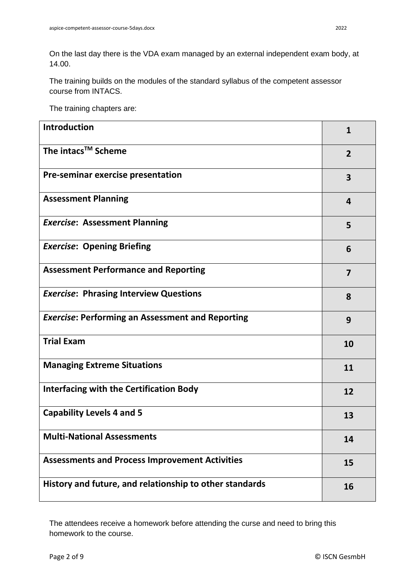On the last day there is the VDA exam managed by an external independent exam body, at 14.00.

The training builds on the modules of the standard syllabus of the competent assessor course from INTACS.

The training chapters are:

| <b>Introduction</b>                                     | 1              |
|---------------------------------------------------------|----------------|
| The intacs <sup>™</sup> Scheme                          | $\overline{2}$ |
| Pre-seminar exercise presentation                       | 3              |
| <b>Assessment Planning</b>                              | 4              |
| <b>Exercise: Assessment Planning</b>                    | 5              |
| <b>Exercise: Opening Briefing</b>                       | 6              |
| <b>Assessment Performance and Reporting</b>             | $\overline{7}$ |
| <b>Exercise: Phrasing Interview Questions</b>           | 8              |
| <b>Exercise: Performing an Assessment and Reporting</b> | 9              |
| <b>Trial Exam</b>                                       | 10             |
| <b>Managing Extreme Situations</b>                      | 11             |
| <b>Interfacing with the Certification Body</b>          | 12             |
| <b>Capability Levels 4 and 5</b>                        | 13             |
| <b>Multi-National Assessments</b>                       | 14             |
| <b>Assessments and Process Improvement Activities</b>   | 15             |
| History and future, and relationship to other standards | 16             |

The attendees receive a homework before attending the curse and need to bring this homework to the course.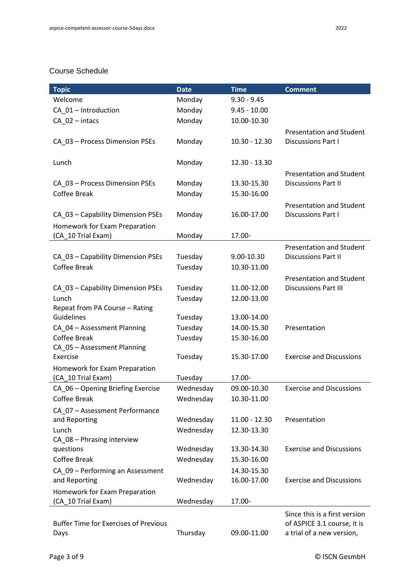#### Course Schedule

| <b>Topic</b>                                 | <b>Date</b> | <b>Time</b>                | <b>Comment</b>                  |
|----------------------------------------------|-------------|----------------------------|---------------------------------|
| Welcome                                      | Monday      | $9.30 - 9.45$              |                                 |
| CA_01 - Introduction                         | Monday      | $9.45 - 10.00$             |                                 |
| CA 02-intacs                                 | Monday      | 10.00-10.30                |                                 |
|                                              |             |                            | <b>Presentation and Student</b> |
| CA_03 - Process Dimension PSEs               | Monday      | $10.30 - 12.30$            | <b>Discussions Part I</b>       |
|                                              |             |                            |                                 |
| Lunch                                        | Monday      | 12.30 - 13.30              |                                 |
|                                              |             |                            | <b>Presentation and Student</b> |
| CA_03 - Process Dimension PSEs               | Monday      | 13.30-15.30                | <b>Discussions Part II</b>      |
| <b>Coffee Break</b>                          | Monday      | 15.30-16.00                |                                 |
|                                              |             |                            | <b>Presentation and Student</b> |
| CA_03 - Capability Dimension PSEs            | Monday      | 16.00-17.00                | Discussions Part I              |
| Homework for Exam Preparation                |             |                            |                                 |
| (CA_10 Trial Exam)                           | Monday      | 17.00-                     |                                 |
|                                              |             |                            | <b>Presentation and Student</b> |
| CA_03 - Capability Dimension PSEs            | Tuesday     | 9.00-10.30                 | <b>Discussions Part II</b>      |
| <b>Coffee Break</b>                          | Tuesday     | 10.30-11.00                |                                 |
|                                              |             |                            | <b>Presentation and Student</b> |
| CA_03 - Capability Dimension PSEs            | Tuesday     | 11.00-12.00                | <b>Discussions Part III</b>     |
| Lunch                                        | Tuesday     | 12.00-13.00                |                                 |
| Repeat from PA Course - Rating               |             |                            |                                 |
| Guidelines                                   | Tuesday     | 13.00-14.00                |                                 |
| CA_04 - Assessment Planning                  | Tuesday     | 14.00-15.30                | Presentation                    |
| Coffee Break                                 | Tuesday     | 15.30-16.00                |                                 |
| CA_05 - Assessment Planning                  |             |                            |                                 |
| Exercise                                     | Tuesday     | 15.30-17.00                | <b>Exercise and Discussions</b> |
| Homework for Exam Preparation                |             |                            |                                 |
| (CA_10 Trial Exam)                           | Tuesday     | 17.00-                     |                                 |
| CA_06 - Opening Briefing Exercise            | Wednesday   | 09.00-10.30                | <b>Exercise and Discussions</b> |
| <b>Coffee Break</b>                          | Wednesday   | 10.30-11.00                |                                 |
| CA 07 - Assessment Performance               |             |                            |                                 |
| and Reporting                                | Wednesday   | $11.00 - 12.30$            | Presentation                    |
| Lunch                                        | Wednesday   | 12.30-13.30                |                                 |
| CA_08 - Phrasing interview                   |             |                            |                                 |
| questions<br>Coffee Break                    | Wednesday   | 13.30-14.30<br>15.30-16.00 | <b>Exercise and Discussions</b> |
|                                              | Wednesday   |                            |                                 |
| CA_09 - Performing an Assessment             |             | 14.30-15.30                |                                 |
| and Reporting                                | Wednesday   | 16.00-17.00                | <b>Exercise and Discussions</b> |
| Homework for Exam Preparation                |             |                            |                                 |
| (CA_10 Trial Exam)                           | Wednesday   | 17.00-                     |                                 |
|                                              |             |                            | Since this is a first version   |
| <b>Buffer Time for Exercises of Previous</b> |             |                            | of ASPICE 3.1 course, it is     |
| Days                                         | Thursday    | 09.00-11.00                | a trial of a new version,       |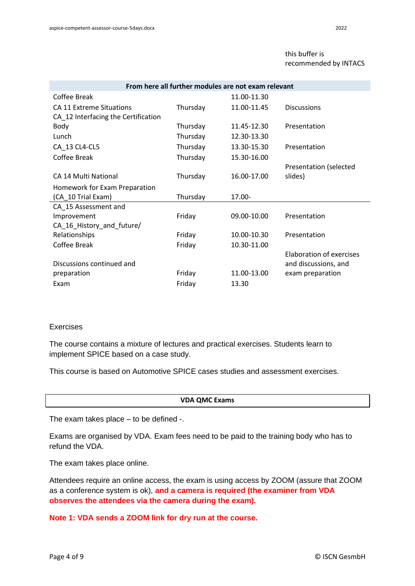#### this buffer is recommended by INTACS

| From here all further modules are not exam relevant |          |             |                                 |  |  |  |  |
|-----------------------------------------------------|----------|-------------|---------------------------------|--|--|--|--|
| Coffee Break                                        |          | 11.00-11.30 |                                 |  |  |  |  |
| <b>CA 11 Extreme Situations</b>                     | Thursday | 11.00-11.45 | <b>Discussions</b>              |  |  |  |  |
| CA_12 Interfacing the Certification                 |          |             |                                 |  |  |  |  |
| Body                                                | Thursday | 11.45-12.30 | Presentation                    |  |  |  |  |
| Lunch                                               | Thursday | 12.30-13.30 |                                 |  |  |  |  |
| CA 13 CL4-CL5                                       | Thursday | 13.30-15.30 | Presentation                    |  |  |  |  |
| Coffee Break                                        | Thursday | 15.30-16.00 |                                 |  |  |  |  |
|                                                     |          |             | Presentation (selected          |  |  |  |  |
| CA 14 Multi National                                | Thursday | 16.00-17.00 | slides)                         |  |  |  |  |
| Homework for Exam Preparation                       |          |             |                                 |  |  |  |  |
| (CA 10 Trial Exam)                                  | Thursday | 17.00-      |                                 |  |  |  |  |
| CA_15 Assessment and                                |          |             |                                 |  |  |  |  |
| Improvement                                         | Friday   | 09.00-10.00 | Presentation                    |  |  |  |  |
| CA_16_History_and_future/                           |          |             |                                 |  |  |  |  |
| Relationships                                       | Friday   | 10.00-10.30 | Presentation                    |  |  |  |  |
| Coffee Break                                        | Friday   | 10.30-11.00 |                                 |  |  |  |  |
|                                                     |          |             | <b>Elaboration of exercises</b> |  |  |  |  |
| Discussions continued and                           |          |             | and discussions, and            |  |  |  |  |
| preparation                                         | Friday   | 11.00-13.00 | exam preparation                |  |  |  |  |
| Exam                                                | Friday   | 13.30       |                                 |  |  |  |  |

#### Exercises

The course contains a mixture of lectures and practical exercises. Students learn to implement SPICE based on a case study.

This course is based on Automotive SPICE cases studies and assessment exercises.

#### **VDA QMC Exams**

The exam takes place – to be defined -.

Exams are organised by VDA. Exam fees need to be paid to the training body who has to refund the VDA.

The exam takes place online.

Attendees require an online access, the exam is using access by ZOOM (assure that ZOOM as a conference system is ok), **and a camera is required (the examiner from VDA observes the attendees via the camera during the exam).**

**Note 1: VDA sends a ZOOM link for dry run at the course.**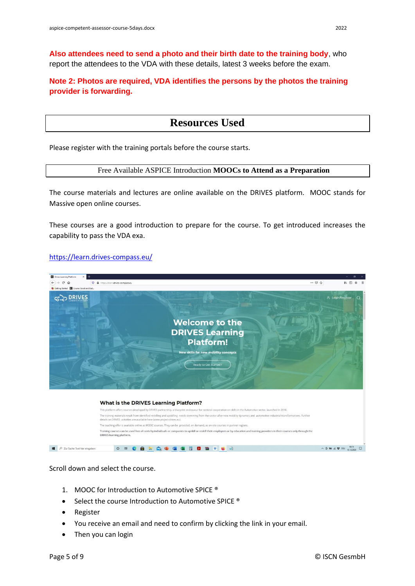**Also attendees need to send a photo and their birth date to the training body**, who report the attendees to the VDA with these details, latest 3 weeks before the exam.

**Note 2: Photos are required, VDA identifies the persons by the photos the training provider is forwarding.**

## **Resources Used**

Please register with the training portals before the course starts.

#### Free Available ASPICE Introduction **MOOCs to Attend as a Preparation**

The course materials and lectures are online available on the DRIVES platform. MOOC stands for Massive open online courses.

These courses are a good introduction to prepare for the course. To get introduced increases the capability to pass the VDA exa.

#### <https://learn.drives-compass.eu/>



Scroll down and select the course.

- 1. MOOC for Introduction to Automotive SPICE<sup>®</sup>
- Select the course Introduction to Automotive SPICE ®
- Register
- You receive an email and need to confirm by clicking the link in your email.
- Then you can login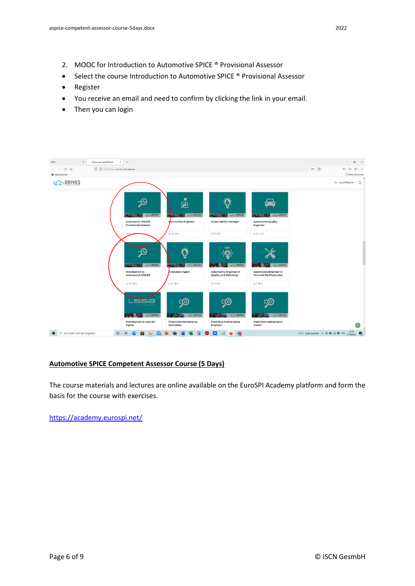- 2. MOOC for Introduction to Automotive SPICE ® Provisional Assessor
- Select the course Introduction to Automotive SPICE ® Provisional Assessor
- Register
- You receive an email and need to confirm by clicking the link in your email.
- Then you can login



#### **Automotive SPICE Competent Assessor Course (5 Days)**

The course materials and lectures are online available on the EuroSPI Academy platform and form the basis for the course with exercises.

<https://academy.eurospi.net/>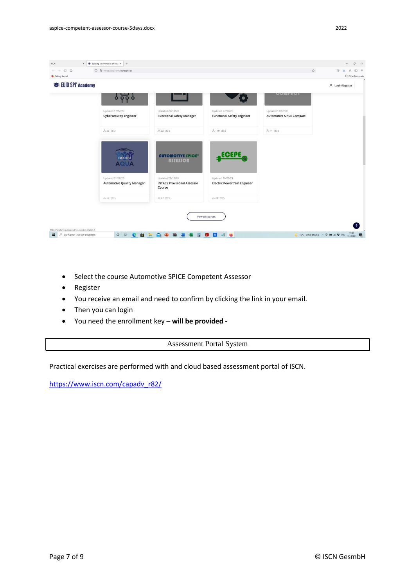

- Select the course Automotive SPICE Competent Assessor
- Register
- You receive an email and need to confirm by clicking the link in your email.
- Then you can login
- You need the enrollment key **– will be provided -**

Assessment Portal System

Practical exercises are performed with and cloud based assessment portal of ISCN.

[https://www.iscn.com/capadv\\_r82/](https://www.iscn.com/capadv_r82/)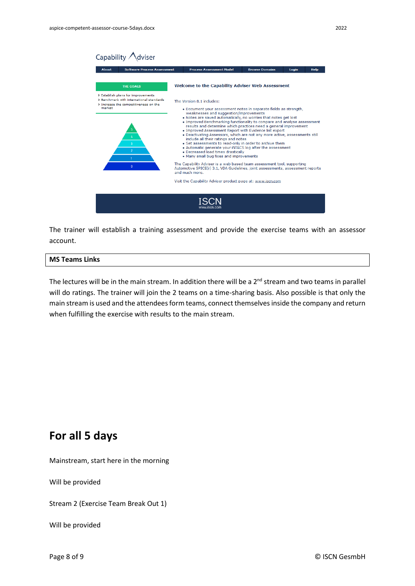

The trainer will establish a training assessment and provide the exercise teams with an assessor account.

#### **MS Teams Links**

The lectures will be in the main stream. In addition there will be a  $2<sup>nd</sup>$  stream and two teams in parallel will do ratings. The trainer will join the 2 teams on a time-sharing basis. Also possible is that only the main stream is used and the attendees form teams, connect themselves inside the company and return when fulfilling the exercise with results to the main stream.

## **For all 5 days**

Mainstream, start here in the morning

Will be provided

Stream 2 (Exercise Team Break Out 1)

Will be provided